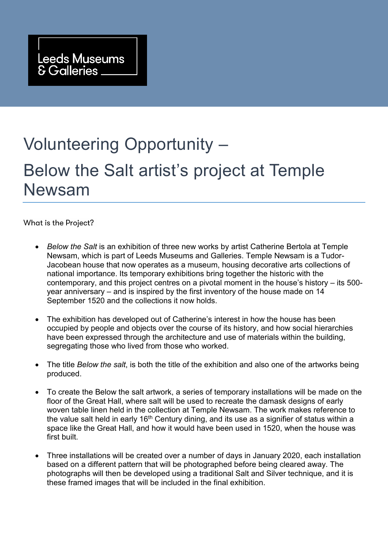## Volunteering Opportunity – Below the Salt artist's project at Temple Newsam

What is the Project?

- *Below the Salt* is an exhibition of three new works by artist Catherine Bertola at Temple Newsam, which is part of Leeds Museums and Galleries. Temple Newsam is a Tudor-Jacobean house that now operates as a museum, housing decorative arts collections of national importance. Its temporary exhibitions bring together the historic with the contemporary, and this project centres on a pivotal moment in the house's history – its 500 year anniversary – and is inspired by the first inventory of the house made on 14 September 1520 and the collections it now holds.
- The exhibition has developed out of Catherine's interest in how the house has been occupied by people and objects over the course of its history, and how social hierarchies have been expressed through the architecture and use of materials within the building, segregating those who lived from those who worked.
- The title *Below the salt*, is both the title of the exhibition and also one of the artworks being produced.
- To create the Below the salt artwork, a series of temporary installations will be made on the floor of the Great Hall, where salt will be used to recreate the damask designs of early woven table linen held in the collection at Temple Newsam. The work makes reference to the value salt held in early 16<sup>th</sup> Century dining, and its use as a signifier of status within a space like the Great Hall, and how it would have been used in 1520, when the house was first built
- Three installations will be created over a number of days in January 2020, each installation based on a different pattern that will be photographed before being cleared away. The photographs will then be developed using a traditional Salt and Silver technique, and it is these framed images that will be included in the final exhibition.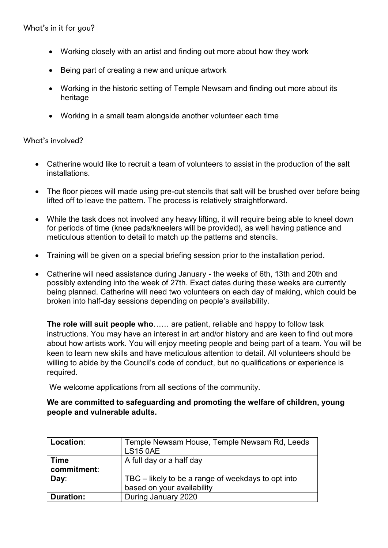- Working closely with an artist and finding out more about how they work
- Being part of creating a new and unique artwork
- Working in the historic setting of Temple Newsam and finding out more about its heritage
- Working in a small team alongside another volunteer each time

## What's involved?

- Catherine would like to recruit a team of volunteers to assist in the production of the salt installations.
- The floor pieces will made using pre-cut stencils that salt will be brushed over before being lifted off to leave the pattern. The process is relatively straightforward.
- While the task does not involved any heavy lifting, it will require being able to kneel down for periods of time (knee pads/kneelers will be provided), as well having patience and meticulous attention to detail to match up the patterns and stencils.
- Training will be given on a special briefing session prior to the installation period.
- Catherine will need assistance during January the weeks of 6th, 13th and 20th and possibly extending into the week of 27th. Exact dates during these weeks are currently being planned. Catherine will need two volunteers on each day of making, which could be broken into half-day sessions depending on people's availability.

**The role will suit people who**…… are patient, reliable and happy to follow task instructions. You may have an interest in art and/or history and are keen to find out more about how artists work. You will enjoy meeting people and being part of a team. You will be keen to learn new skills and have meticulous attention to detail. All volunteers should be willing to abide by the Council's code of conduct, but no qualifications or experience is required.

We welcome applications from all sections of the community.

## **We are committed to safeguarding and promoting the welfare of children, young people and vulnerable adults.**

| Location:      | Temple Newsam House, Temple Newsam Rd, Leeds       |
|----------------|----------------------------------------------------|
|                | <b>LS15 0AE</b>                                    |
| <b>Time</b>    | A full day or a half day                           |
| commitment:    |                                                    |
| $\mathbf{Day}$ | TBC – likely to be a range of weekdays to opt into |
|                | based on your availability                         |
| Duration:      | During January 2020                                |